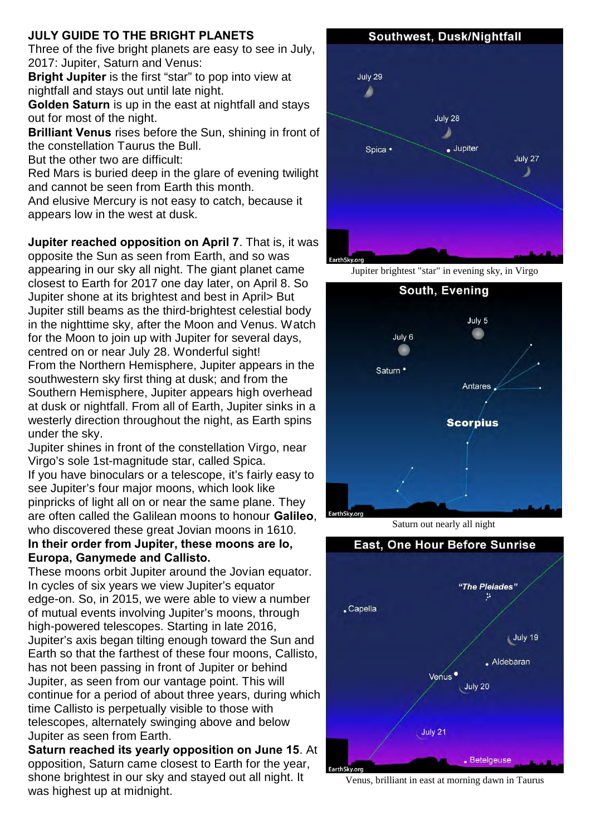## **JULY GUIDE TO THE BRIGHT PLANETS**

Three of the five bright planets are easy to see in July, 2017: Jupiter, Saturn and Venus:

**Bright Jupiter** is the first "star" to pop into view at nightfall and stays out until late night.

**Golden Saturn** is up in the east at nightfall and stays out for most of the night.

**Brilliant Venus** rises before the Sun, shining in front of the constellation Taurus the Bull.

But the other two are difficult:

Red Mars is buried deep in the glare of evening twilight and cannot be seen from Earth this month.

And elusive Mercury is not easy to catch, because it appears low in the west at dusk.

**Jupiter reached opposition on April 7**. That is, it was opposite the Sun as seen from Earth, and so was appearing in our sky all night. The giant planet came closest to Earth for 2017 one day later, on April 8. So Jupiter shone at its brightest and best in April> But Jupiter still beams as the third-brightest celestial body in the nighttime sky, after the Moon and Venus. Watch for the Moon to join up with Jupiter for several days, centred on or near July 28. Wonderful sight! From the Northern Hemisphere, Jupiter appears in the southwestern sky first thing at dusk; and from the Southern Hemisphere, Jupiter appears high overhead at dusk or nightfall. From all of Earth, Jupiter sinks in a westerly direction throughout the night, as Earth spins under the sky.

Jupiter shines in front of the constellation Virgo, near Virgo's sole 1st-magnitude star, called Spica. If you have binoculars or a telescope, it's fairly easy to see Jupiter's four major moons, which look like pinpricks of light all on or near the same plane. They are often called the Galilean moons to honour **Galileo**, who discovered these great Jovian moons in 1610.

## **In their order from Jupiter, these moons are Io, Europa, Ganymede and Callisto.**

These moons orbit Jupiter around the Jovian equator. In cycles of six years we view Jupiter's equator edge-on. So, in 2015, we were able to view a number of mutual events involving Jupiter's moons, through high-powered telescopes. Starting in late 2016, Jupiter's axis began tilting enough toward the Sun and Earth so that the farthest of these four moons, Callisto, has not been passing in front of Jupiter or behind Jupiter, as seen from our vantage point. This will continue for a period of about three years, during which time Callisto is perpetually visible to those with telescopes, alternately swinging above and below Jupiter as seen from Earth.

**Saturn reached its yearly opposition on June 15**. At opposition, Saturn came closest to Earth for the year, shone brightest in our sky and stayed out all night. It was highest up at midnight.



Jupiter brightest "star" in evening sky, in Virgo



Saturn out nearly all night



Venus, brilliant in east at morning dawn in Taurus